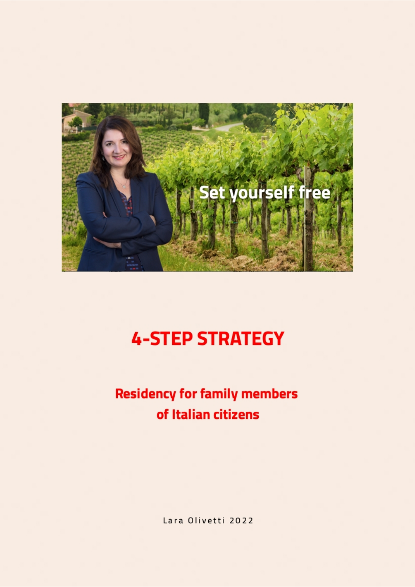

# **4-STEP STRATEGY**

## **Residency for family members** of Italian citizens

Lara Olivetti 2022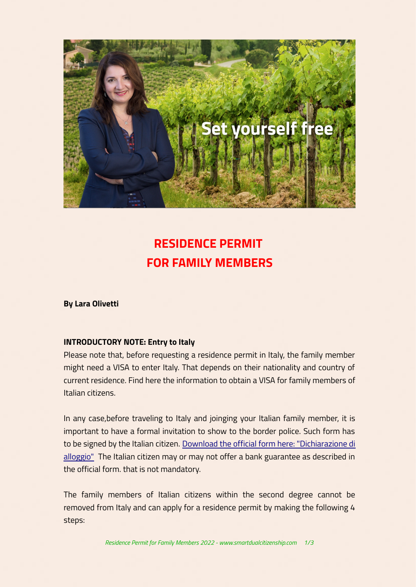

### **RESIDENCE PERMIT FOR FAMILY MEMBERS**

**By Lara Olivetti**

#### **INTRODUCTORY NOTE: Entry to Italy**

Please note that, before requesting a residence permit in Italy, the family member might need a VISA to enter Italy. That depends on their nationality and country of current residence. Find here the information to obtain a VISA for family members of Italian citizens.

In any case,before traveling to Italy and joinging your Italian family member, it is important to have a formal invitation to show to the border police. Such form has to be signed by the Italian citizen. [Download the official form here: "Dichiarazione di](https://vistoperitalia.esteri.it/Moduli/it/DICHIARAZIONEALLOGGIOGARANZIA.PDF) [alloggio"](https://vistoperitalia.esteri.it/Moduli/it/DICHIARAZIONEALLOGGIOGARANZIA.PDF) The Italian citizen may or may not offer a bank guarantee as described in the official form. that is not mandatory.

The family members of Italian citizens within the second degree cannot be removed from Italy and can apply for a residence permit by making the following 4 steps: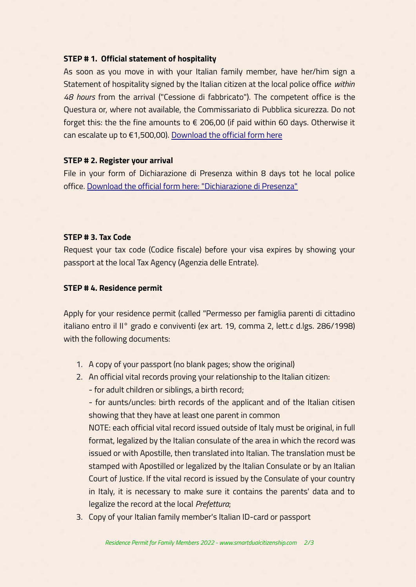#### **STEP # 1. Official statement of hospitality**

As soon as you move in with your Italian family member, have her/him sign a Statement of hospitality signed by the Italian citizen at the local police office *within 48 hours* from the arrival ("Cessione di fabbricato"). The competent office is the Questura or, where not available, the Commissariato di Pubblica sicurezza. Do not forget this: the the fine amounts to  $\epsilon$  206,00 (if paid within 60 days. Otherwise it can escalate up to €1,500,00). [Download the official form here](https://questure.poliziadistato.it/statics/23/dichiarazione-di-ospitalita---modulo-art.7.pdf?lang=it)

#### **STEP # 2. Register your arrival**

File in your form of Dichiarazione di Presenza within 8 days tot he local police office. [Download the official form here: "Dichiarazione di Presenza"](https://www.poliziadistato.it/statics/14/declaration_of_presence_for_eu_citizens.pdf)

#### **STEP # 3. Tax Code**

Request your tax code (Codice fiscale) before your visa expires by showing your passport at the local Tax Agency (Agenzia delle Entrate).

#### **STEP # 4. Residence permit**

Apply for your residence permit (called "Permesso per famiglia parenti di cittadino italiano entro il II° grado e conviventi (ex art. 19, comma 2, lett.c d.lgs. 286/1998) with the following documents:

- 1. A copy of your passport (no blank pages; show the original)
- 2. An official vital records proving your relationship to the Italian citizen:
	- for adult children or siblings, a birth record;

- for aunts/uncles: birth records of the applicant and of the Italian citisen showing that they have at least one parent in common

NOTE: each official vital record issued outside of Italy must be original, in full format, legalized by the Italian consulate of the area in which the record was issued or with Apostille, then translated into Italian. The translation must be stamped with Apostilled or legalized by the Italian Consulate or by an Italian Court of Justice. If the vital record is issued by the Consulate of your country in Italy, it is necessary to make sure it contains the parents' data and to legalize the record at the local *Prefettura*;

3. Copy of your Italian family member's Italian ID-card or passport